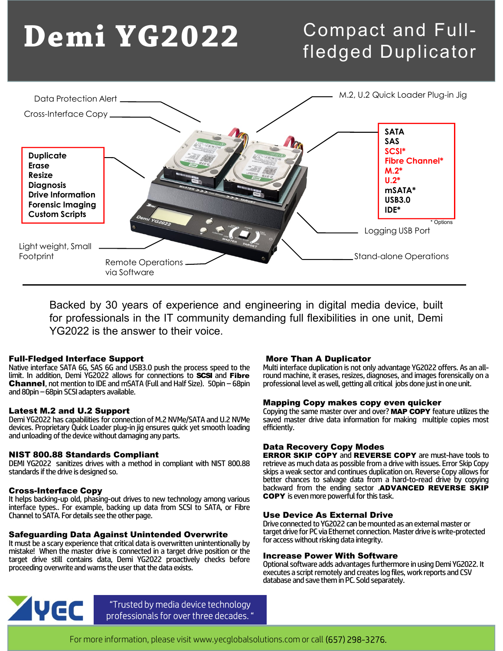# Demi YG2022

## Compact and Fullfledged Duplicator



YG2022 is the answer to their voice. Vid Software<br>
Vid Software<br>
Backed by 30 years of experience and engineering in digital med<br>
for professionals in the IT community demanding full flexibilities in<br>
YG2022 is the answer to their voice.<br>
<br> **Full-Fledged Inte** VID SOFTWORE<br>
Backed by 30 years of experience and engineering in digital media device,<br>
for professionals in the IT community demanding full flexibilities in one unit, D<br>
YG2022 is the answer to their voice.<br> **Full-Fledge** Backed by 30 years of experience and engineering in digital me<br>for professionals in the IT community demanding full flexibilities in<br>YG2022 is the answer to their voice.<br>Native interface Support<br>Native interface Support<br>Na ineering in digital media device, built<br>
Multi interface duplicities in one unit, Demi<br>
More Than A Duplicator<br>
Multi interface duplication is not only advantage YG2022 offers. As an all-<br>
round machine, it erases, resizes ineering in digital media device, built<br>
round machine, it erases, resizes in one unit, Demi<br> **More Than A Duplicator**<br>
Multi interface duplication is not only advantage YG2022 offers. As an all-<br>
round machine, it erases, ineering in digital media device, built<br>
iding full flexibilities in one unit, Demi<br> **More Than A Duplicator**<br>
Multi interface duplication is not only advantage YG2022 offers. As an all-<br>
round machine, it erases, resizes,

Backed by 30 years of experience and<br>for professionals in the IT community d<br>YG2022 is the answer to their voice.<br>Full-Fledged Interface Support<br>Native interface SATA 6G, SAS 6G and USB3.0 push the process speed to<br>limit. for professionals in the 11 community demanding full flexibilities in<br>
YG2022 is the answer to their voice.<br> **Full-Fledged Interface Support**<br> **Native interface SATA 66, SAS 66 and USB3.0 push the process speed to the**<br>
Mu YG2022 is the answer to their voice.<br> **Full-Fledged Interface Support**<br>
Native interface SATA 6G, SAS 6G and USB3.0 push the process speed to the<br>
limit. In addition, Demi YG2022 allows for connections to **SCSI** and **Fibre Full-Fledged Interface Support**<br> **Full-Fledged Interface Support**<br>
Native interface SATA 66, SAS 6G and USB3.0 push the process speed to the Multi inter<br>
limit. In addition, Demi YG2022 allows for connections to **SCSI** an Function is a matter of the matter of the matter of the matter of the matter of the matter of the matter of the matter of the matter of the matter of the matter of the matter of the matter of the matter of the matter of th Number in addition, Demi YG2022 allows for connections to **SCSI** and Fike<br>
limit. In addition, Demi YG2022 allows for connections to **SCSI** and Fike<br> **Channel**, not mention to IDE and mSATA (Full and Half Size). 50pin – 68

Latest M.2 and U.2 Support<br>Demi YG2022 has capabilities for connection of M.2 NVMe/SATA and U.2 NVMe **Latest M.2 and U.2 Support**<br>
Deni YG2022 has capabilities for connection of M.2 NVMe/SATA and U.2 NVMe<br>
devices. Proprietary Quick Loader plug-in jig ensures quick yet smooth loading<br>
and unloading of the device without d Latest M.2 and U.2 Support<br>
Demi YG2022 has capabilities for connection of M.2 NVMe/SATA and U.2 NVMe<br>
devices. Proprietary Quick Loader plug-in jig ensures quick yet smooth loading<br>
and unloading of the device without dam Levest Wi-Z and U.2 Support<br>
Demi YG2022 has capabilities for connection of M.2 NVMe/SATA and U.2 NVMe<br>
devices. Proprietary Quick Loader plug-in jig ensures quick yet smooth loading<br>
and unloading of the device without da

**Cross-Interface Copy**<br>It helps backing-up old, phasing-out drives to new technology among various

## **Safeguarding Data Against Unintended Overwrite**<br>It must be a scary experience that critical data is overwritten unintentionally by

**INST 800.88 Standards Compliant**<br>
Denta Recovery Copy Mod<br>
DEMI YG2022 sanitizes drives drives with a method in compliant with NIST 800.88<br>
strandards if the drive is designed so.<br>
Standards if the drive is designed so.<br> **NIST 800.88 Standards Compliant**<br>
DEMI YG2022 sanitizes drives with a method in compliant with NIST 800.88<br>
Standards if the drive is designed so.<br>
Standards if the drive is designed so.<br> **Cross-Interface Copy**<br>
It helps The Transaction of the drive still contained to SATA, or the Transaction of the drive is designed so.<br>
DEMI YG2022 sanitizes drives to the media on compliant with NIST 800.88<br>
Skips a weak sector and continue better chance proceeding overwrite and warns the user that the data exists.<br>
Standards if the drive is designed so.<br>
Standards if the drive is designed so.<br>
It helps backing-up old, phasing-out drives to new technology among various<br>
in

More Than A Duplicator<br>
More Than A Duplicator<br>
Multi interface duplication is not only advantage YG2022 offers. As an all-<br>
round machine, it erases, resizes, diagnoses, and images forensically on a<br>
professional level as

**Mapping Copy makes copy even quicker<br>Copying the same master over and over? MAP COPY feature utilizes the** efficiently.

### Data Recovery Copy Modes

**NIST 800.88 Standards Compliant**<br>DEMI YG2022 sanitizes drives with a method in compliant with NIST 800.88 retrieve as much data as possible from a drive with issues. Error Skip Copy Stand-alone Operations<br>
ineering in digital media device, built<br>
inding full flexibilities in one unit, Demi<br>
Mustimetrate duplicator<br>
Mustimetrate duplication is no not unit, and ally<br>
mustimetrate duplication is not only **Multi interface dyliciation** is not only advantage YG2022 offers. As an all-<br>
Multi interface dyliciation is not only advantage YG2022 offers. As an all-<br>
professional level as well, getting all critical jobs done just in Muturinteriate diplitation is not only advantage Ydzozz oriers. As an alter-<br>round machine, it erases, resizes, diagnoses, and images forensically on a<br>professional level as well, getting all critical jobs done just in one From Hachine, it erases, resizes, diagnoses, and images forensically off a<br>professional level as well, getting all critical jobs done just in one unit.<br>**Mapping Copy makes copy even quicker**<br>Copying the same master over an **ineering in digital media device, built**<br> **holding full flexibilities in one unit, Demi**<br> **Multi interface duplication is not only advantage YG2022 offers. As an all-**<br>
pour machine, it erases, resizes, diagnoses, and ima **Mapping Copy makes copy even quicker**<br>Copying the same master over and over? **MAP COPY** feature utilizes the<br>saved master drive data information for making multiple copies most<br>efficiently.<br>**Data Recovery Copy Modes**<br>**ERR** 

### Use Device As External Drive

Drive connected to YG2022 can be mounted as an external master or target drive for PC via Ethernet connection. Master drive is write-protected for access without risking data integrity.

### Increase Power With Software

Optional software adds advantages furthermore in using Demi YG2022. It executes a script remotely and creates log files, work reports and CSV database and save them in PC. Sold separately.

**YVEC** 

"Trusted by media device technology professionals for over three decades. "